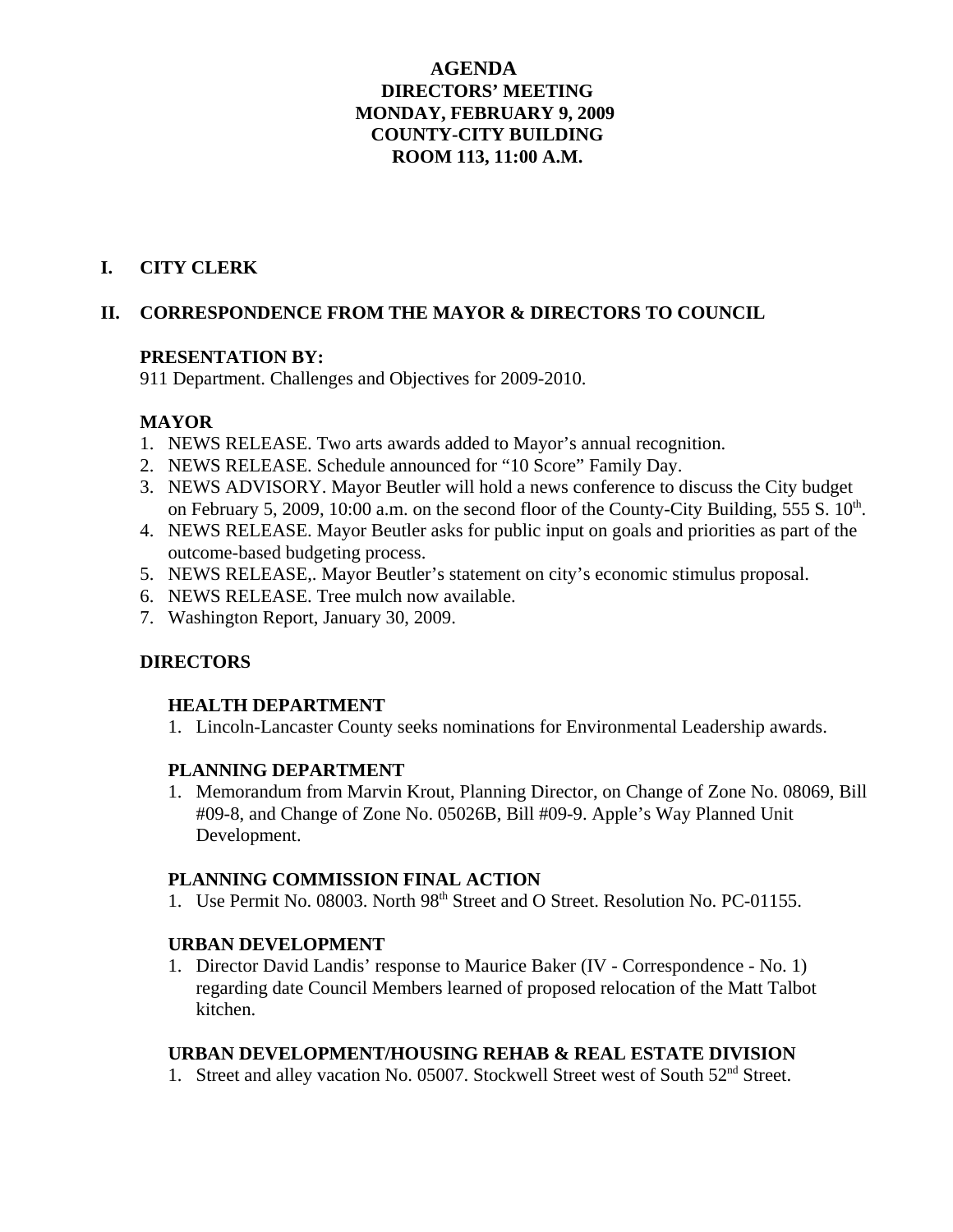## **AGENDA DIRECTORS' MEETING MONDAY, FEBRUARY 9, 2009 COUNTY-CITY BUILDING ROOM 113, 11:00 A.M.**

## **I. CITY CLERK**

## **II. CORRESPONDENCE FROM THE MAYOR & DIRECTORS TO COUNCIL**

#### **PRESENTATION BY:**

911 Department. Challenges and Objectives for 2009-2010.

## **MAYOR**

- 1. NEWS RELEASE. Two arts awards added to Mayor's annual recognition.
- 2. NEWS RELEASE. Schedule announced for "10 Score" Family Day.
- 3. NEWS ADVISORY. Mayor Beutler will hold a news conference to discuss the City budget on February 5, 2009, 10:00 a.m. on the second floor of the County-City Building, 555 S.  $10<sup>th</sup>$ .
- 4. NEWS RELEASE. Mayor Beutler asks for public input on goals and priorities as part of the outcome-based budgeting process.
- 5. NEWS RELEASE,. Mayor Beutler's statement on city's economic stimulus proposal.
- 6. NEWS RELEASE. Tree mulch now available.
- 7. Washington Report, January 30, 2009.

## **DIRECTORS**

#### **HEALTH DEPARTMENT**

1. Lincoln-Lancaster County seeks nominations for Environmental Leadership awards.

## **PLANNING DEPARTMENT**

1. Memorandum from Marvin Krout, Planning Director, on Change of Zone No. 08069, Bill #09-8, and Change of Zone No. 05026B, Bill #09-9. Apple's Way Planned Unit Development.

#### **PLANNING COMMISSION FINAL ACTION**

1. Use Permit No. 08003. North 98<sup>th</sup> Street and O Street. Resolution No. PC-01155.

## **URBAN DEVELOPMENT**

1. Director David Landis' response to Maurice Baker (IV - Correspondence - No. 1) regarding date Council Members learned of proposed relocation of the Matt Talbot kitchen.

## **URBAN DEVELOPMENT/HOUSING REHAB & REAL ESTATE DIVISION**

1. Street and alley vacation No. 05007. Stockwell Street west of South 52<sup>nd</sup> Street.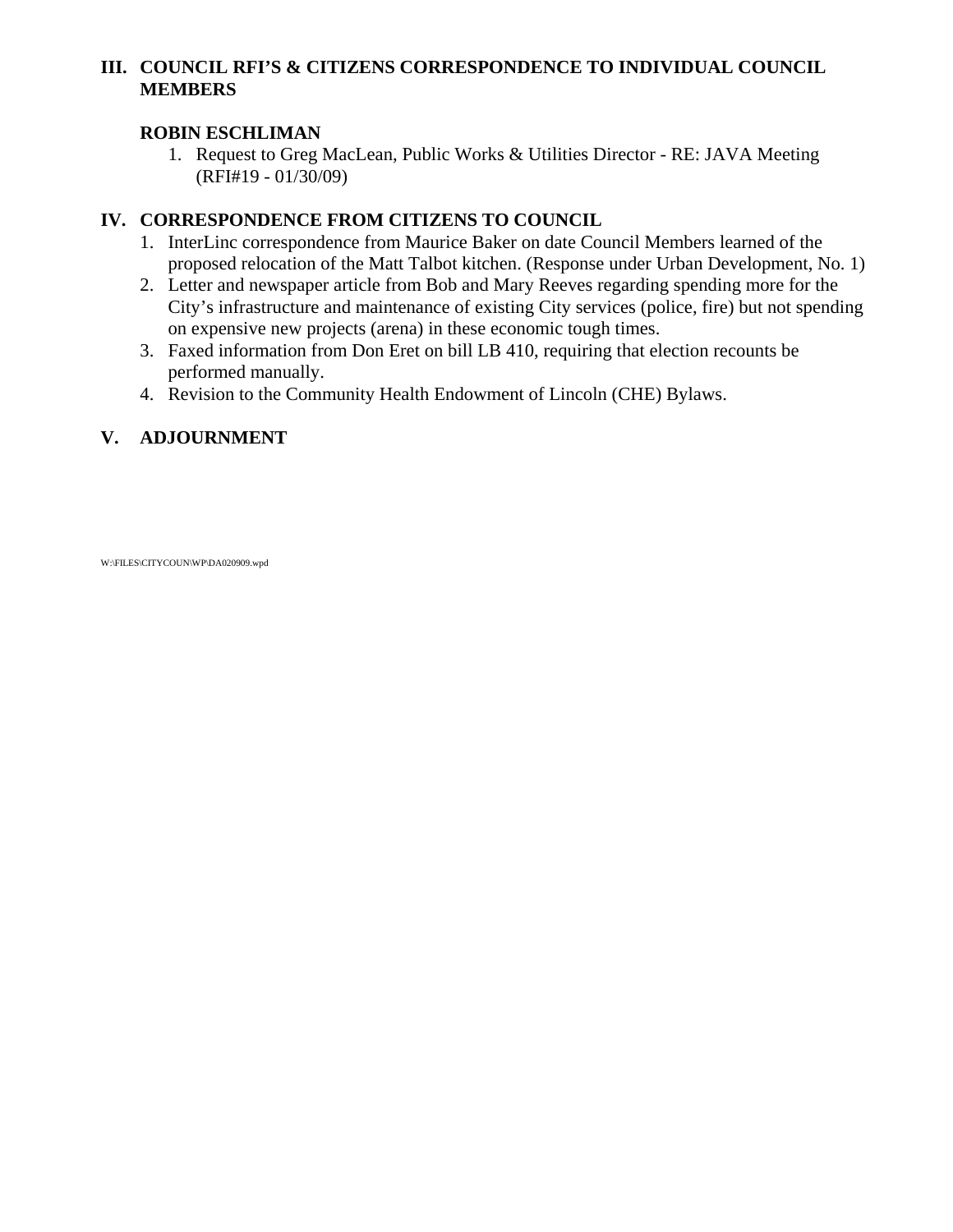## **III. COUNCIL RFI'S & CITIZENS CORRESPONDENCE TO INDIVIDUAL COUNCIL MEMBERS**

## **ROBIN ESCHLIMAN**

1. Request to Greg MacLean, Public Works & Utilities Director - RE: JAVA Meeting (RFI#19 - 01/30/09)

## **IV. CORRESPONDENCE FROM CITIZENS TO COUNCIL**

- 1. InterLinc correspondence from Maurice Baker on date Council Members learned of the proposed relocation of the Matt Talbot kitchen. (Response under Urban Development, No. 1)
- 2. Letter and newspaper article from Bob and Mary Reeves regarding spending more for the City's infrastructure and maintenance of existing City services (police, fire) but not spending on expensive new projects (arena) in these economic tough times.
- 3. Faxed information from Don Eret on bill LB 410, requiring that election recounts be performed manually.
- 4. Revision to the Community Health Endowment of Lincoln (CHE) Bylaws.

## **V. ADJOURNMENT**

W:\FILES\CITYCOUN\WP\DA020909.wpd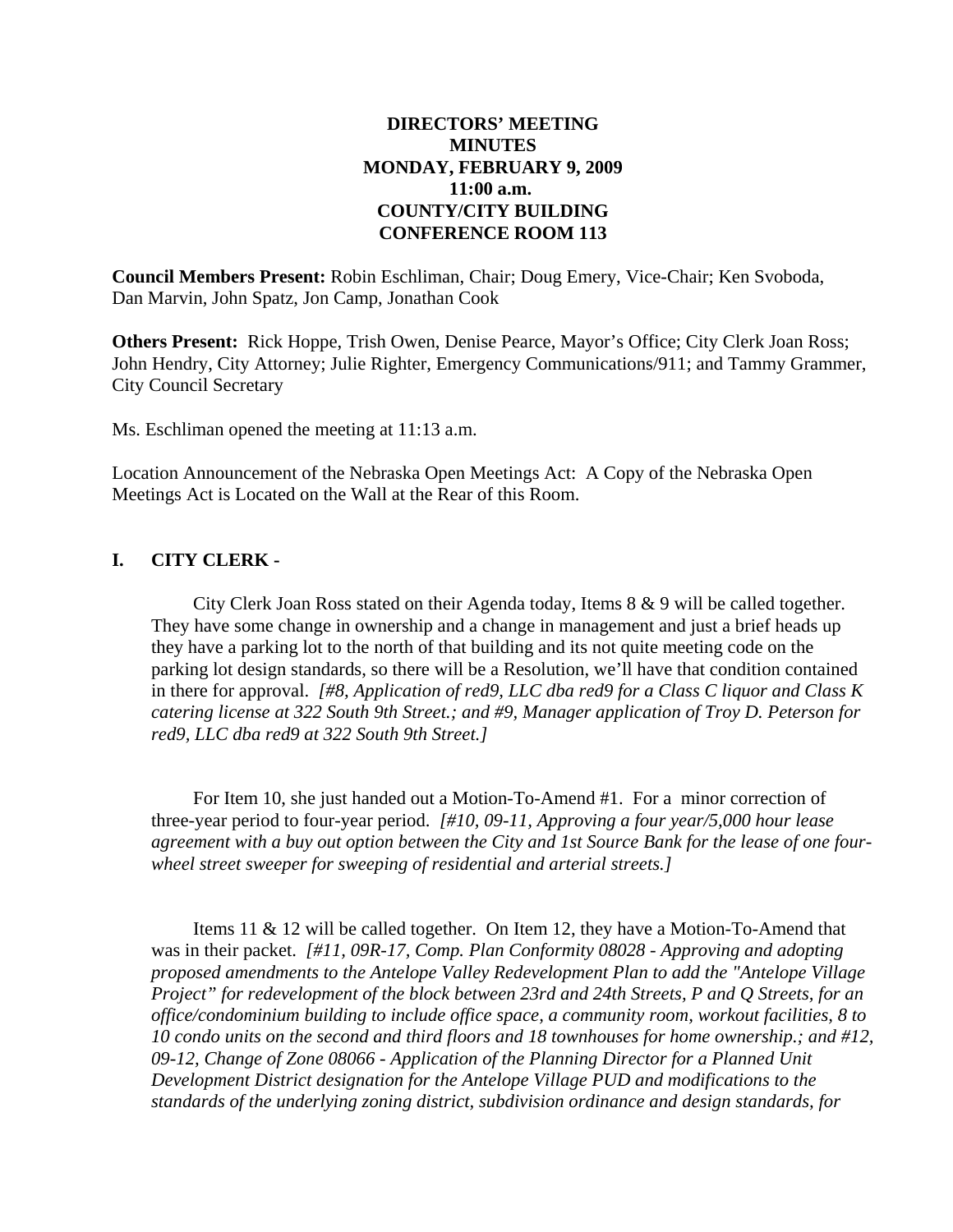#### **DIRECTORS' MEETING MINUTES MONDAY, FEBRUARY 9, 2009 11:00 a.m. COUNTY/CITY BUILDING CONFERENCE ROOM 113**

**Council Members Present:** Robin Eschliman, Chair; Doug Emery, Vice-Chair; Ken Svoboda, Dan Marvin, John Spatz, Jon Camp, Jonathan Cook

**Others Present:** Rick Hoppe, Trish Owen, Denise Pearce, Mayor's Office; City Clerk Joan Ross; John Hendry, City Attorney; Julie Righter, Emergency Communications/911; and Tammy Grammer, City Council Secretary

Ms. Eschliman opened the meeting at 11:13 a.m.

Location Announcement of the Nebraska Open Meetings Act: A Copy of the Nebraska Open Meetings Act is Located on the Wall at the Rear of this Room.

## **I. CITY CLERK -**

City Clerk Joan Ross stated on their Agenda today, Items 8 & 9 will be called together. They have some change in ownership and a change in management and just a brief heads up they have a parking lot to the north of that building and its not quite meeting code on the parking lot design standards, so there will be a Resolution, we'll have that condition contained in there for approval. *[#8, Application of red9, LLC dba red9 for a Class C liquor and Class K catering license at 322 South 9th Street.; and #9, Manager application of Troy D. Peterson for red9, LLC dba red9 at 322 South 9th Street.]*

For Item 10, she just handed out a Motion-To-Amend #1. For a minor correction of three-year period to four-year period. *[#10, 09-11, Approving a four year/5,000 hour lease agreement with a buy out option between the City and 1st Source Bank for the lease of one fourwheel street sweeper for sweeping of residential and arterial streets.]*

Items 11 & 12 will be called together. On Item 12, they have a Motion-To-Amend that was in their packet. *[#11, 09R-17, Comp. Plan Conformity 08028 - Approving and adopting proposed amendments to the Antelope Valley Redevelopment Plan to add the "Antelope Village Project" for redevelopment of the block between 23rd and 24th Streets, P and Q Streets, for an office/condominium building to include office space, a community room, workout facilities, 8 to 10 condo units on the second and third floors and 18 townhouses for home ownership.; and #12, 09-12, Change of Zone 08066 - Application of the Planning Director for a Planned Unit Development District designation for the Antelope Village PUD and modifications to the standards of the underlying zoning district, subdivision ordinance and design standards, for*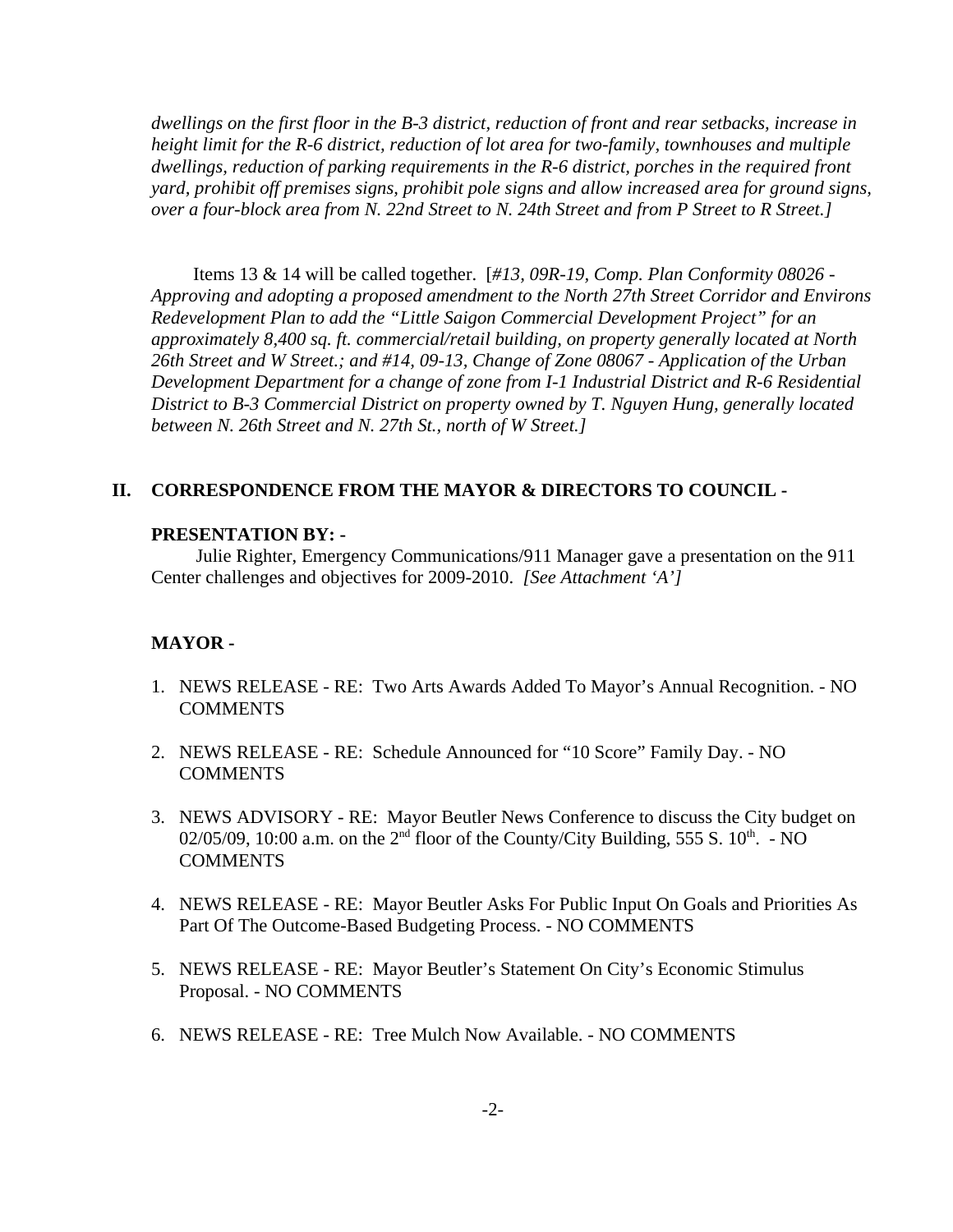*dwellings on the first floor in the B-3 district, reduction of front and rear setbacks, increase in height limit for the R-6 district, reduction of lot area for two-family, townhouses and multiple dwellings, reduction of parking requirements in the R-6 district, porches in the required front yard, prohibit off premises signs, prohibit pole signs and allow increased area for ground signs, over a four-block area from N. 22nd Street to N. 24th Street and from P Street to R Street.]*

Items 13 & 14 will be called together. [*#13, 09R-19, Comp. Plan Conformity 08026 - Approving and adopting a proposed amendment to the North 27th Street Corridor and Environs Redevelopment Plan to add the "Little Saigon Commercial Development Project" for an approximately 8,400 sq. ft. commercial/retail building, on property generally located at North 26th Street and W Street.; and #14, 09-13, Change of Zone 08067 - Application of the Urban Development Department for a change of zone from I-1 Industrial District and R-6 Residential District to B-3 Commercial District on property owned by T. Nguyen Hung, generally located between N. 26th Street and N. 27th St., north of W Street.]*

#### **II. CORRESPONDENCE FROM THE MAYOR & DIRECTORS TO COUNCIL -**

#### **PRESENTATION BY: -**

Julie Righter, Emergency Communications/911 Manager gave a presentation on the 911 Center challenges and objectives for 2009-2010. *[See Attachment 'A']* 

#### **MAYOR -**

- 1. NEWS RELEASE RE: Two Arts Awards Added To Mayor's Annual Recognition. NO **COMMENTS**
- 2. NEWS RELEASE RE: Schedule Announced for "10 Score" Family Day. NO COMMENTS
- 3. NEWS ADVISORY RE: Mayor Beutler News Conference to discuss the City budget on 02/05/09, 10:00 a.m. on the  $2<sup>nd</sup>$  floor of the County/City Building, 555 S. 10<sup>th</sup>. - NO **COMMENTS**
- 4. NEWS RELEASE RE: Mayor Beutler Asks For Public Input On Goals and Priorities As Part Of The Outcome-Based Budgeting Process. - NO COMMENTS
- 5. NEWS RELEASE RE: Mayor Beutler's Statement On City's Economic Stimulus Proposal. - NO COMMENTS
- 6. NEWS RELEASE RE: Tree Mulch Now Available. NO COMMENTS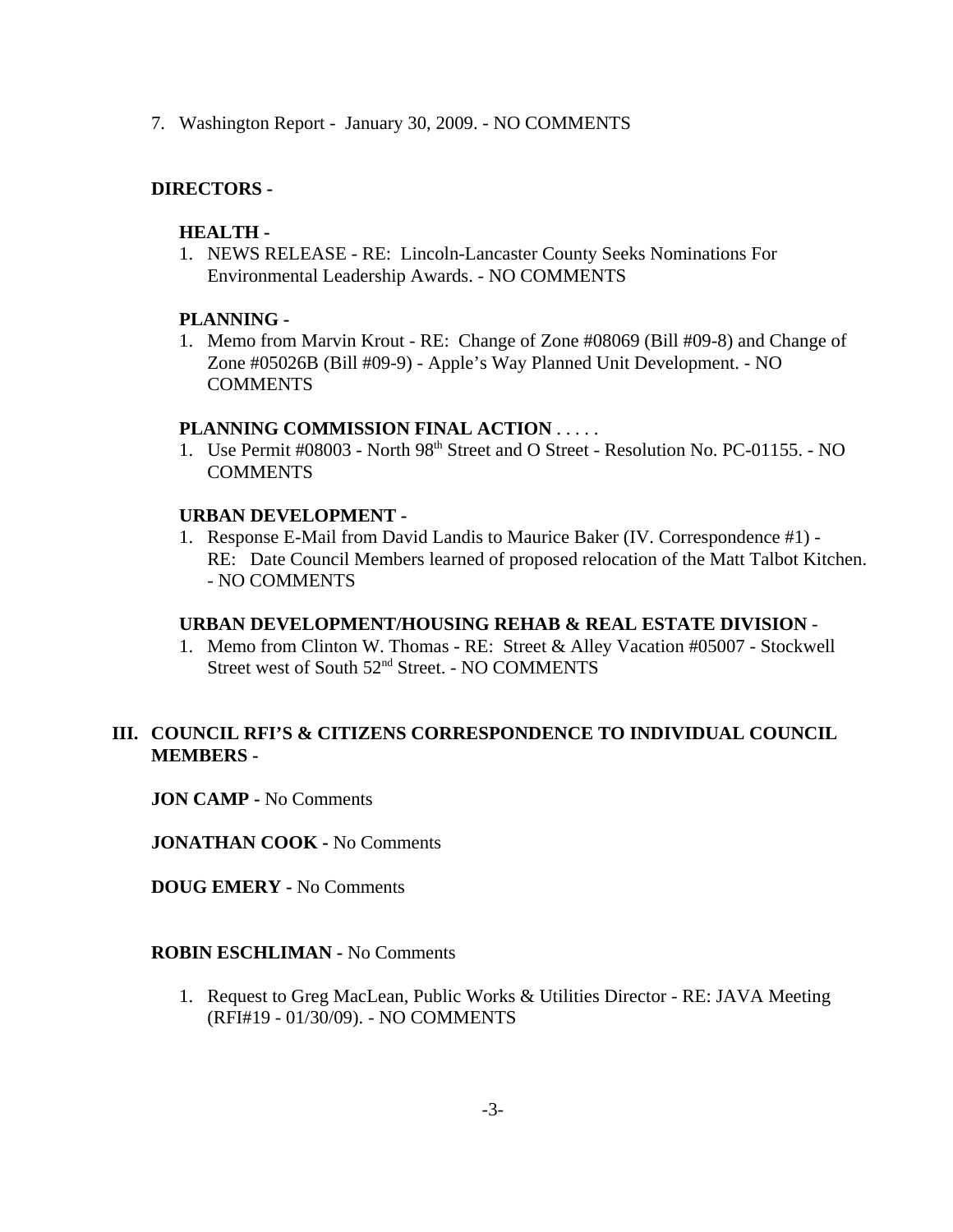7. Washington Report - January 30, 2009. - NO COMMENTS

## **DIRECTORS -**

#### **HEALTH -**

1. NEWS RELEASE - RE: Lincoln-Lancaster County Seeks Nominations For Environmental Leadership Awards. - NO COMMENTS

#### **PLANNING -**

1. Memo from Marvin Krout - RE: Change of Zone #08069 (Bill #09-8) and Change of Zone #05026B (Bill #09-9) - Apple's Way Planned Unit Development. - NO **COMMENTS** 

#### **PLANNING COMMISSION FINAL ACTION** . . . . .

1. Use Permit #08003 - North 98<sup>th</sup> Street and O Street - Resolution No. PC-01155. - NO **COMMENTS** 

## **URBAN DEVELOPMENT -**

1. Response E-Mail from David Landis to Maurice Baker (IV. Correspondence #1) - RE: Date Council Members learned of proposed relocation of the Matt Talbot Kitchen. - NO COMMENTS

#### **URBAN DEVELOPMENT/HOUSING REHAB & REAL ESTATE DIVISION** -

1. Memo from Clinton W. Thomas - RE: Street & Alley Vacation #05007 - Stockwell Street west of South 52<sup>nd</sup> Street. - NO COMMENTS

## **III. COUNCIL RFI'S & CITIZENS CORRESPONDENCE TO INDIVIDUAL COUNCIL MEMBERS -**

**JON CAMP -** No Comments

**JONATHAN COOK -** No Comments

**DOUG EMERY -** No Comments

#### **ROBIN ESCHLIMAN -** No Comments

1. Request to Greg MacLean, Public Works & Utilities Director - RE: JAVA Meeting (RFI#19 - 01/30/09). - NO COMMENTS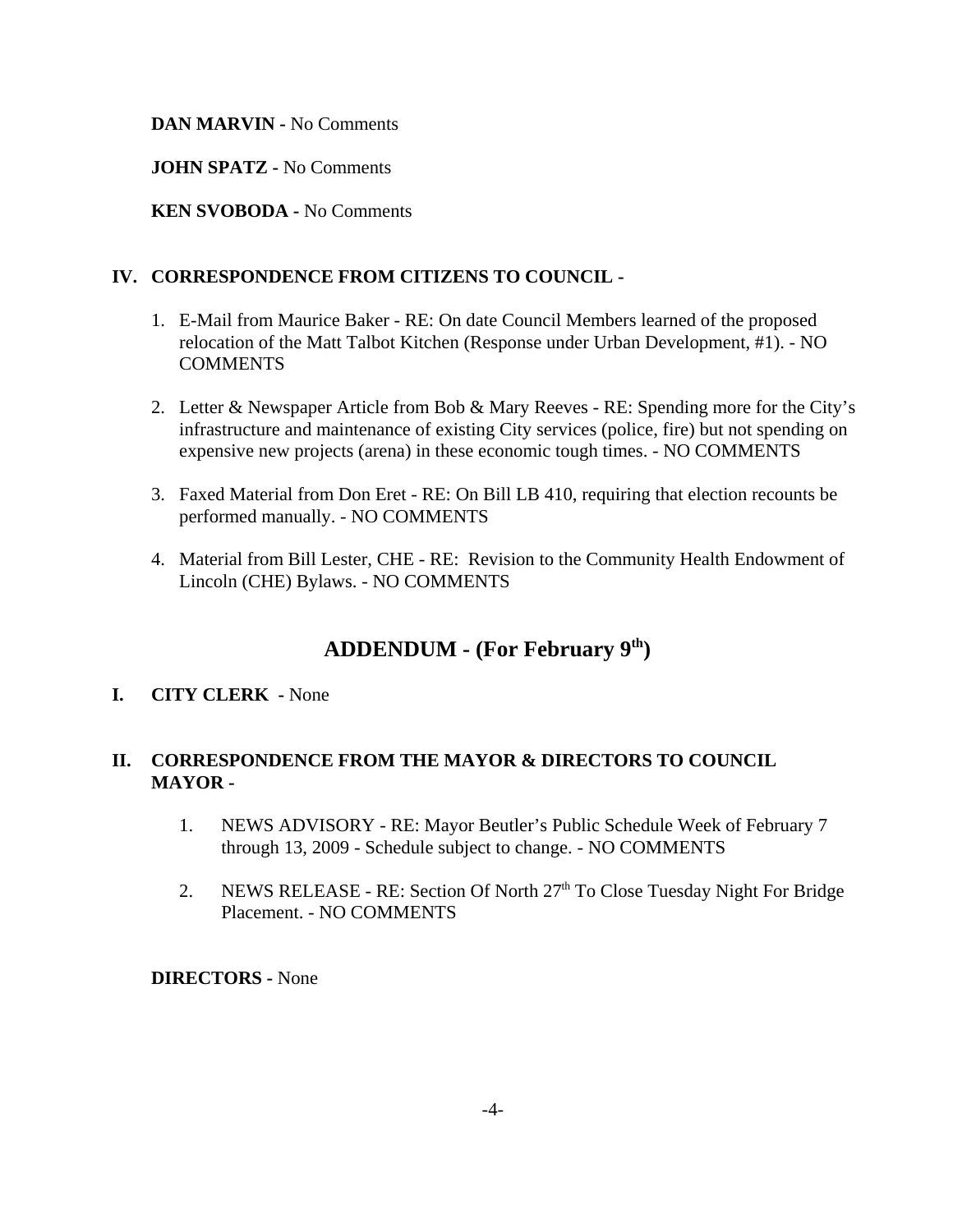#### **DAN MARVIN -** No Comments

**JOHN SPATZ -** No Comments

**KEN SVOBODA -** No Comments

## **IV. CORRESPONDENCE FROM CITIZENS TO COUNCIL -**

- 1. E-Mail from Maurice Baker RE: On date Council Members learned of the proposed relocation of the Matt Talbot Kitchen (Response under Urban Development, #1). - NO **COMMENTS**
- 2. Letter & Newspaper Article from Bob & Mary Reeves RE: Spending more for the City's infrastructure and maintenance of existing City services (police, fire) but not spending on expensive new projects (arena) in these economic tough times. - NO COMMENTS
- 3. Faxed Material from Don Eret RE: On Bill LB 410, requiring that election recounts be performed manually. - NO COMMENTS
- 4. Material from Bill Lester, CHE RE: Revision to the Community Health Endowment of Lincoln (CHE) Bylaws. - NO COMMENTS

# **ADDENDUM - (For February 9th)**

#### **I. CITY CLERK -** None

## **II. CORRESPONDENCE FROM THE MAYOR & DIRECTORS TO COUNCIL MAYOR -**

- 1. NEWS ADVISORY RE: Mayor Beutler's Public Schedule Week of February 7 through 13, 2009 - Schedule subject to change. - NO COMMENTS
- 2. NEWS RELEASE RE: Section Of North 27<sup>th</sup> To Close Tuesday Night For Bridge Placement. - NO COMMENTS

**DIRECTORS -** None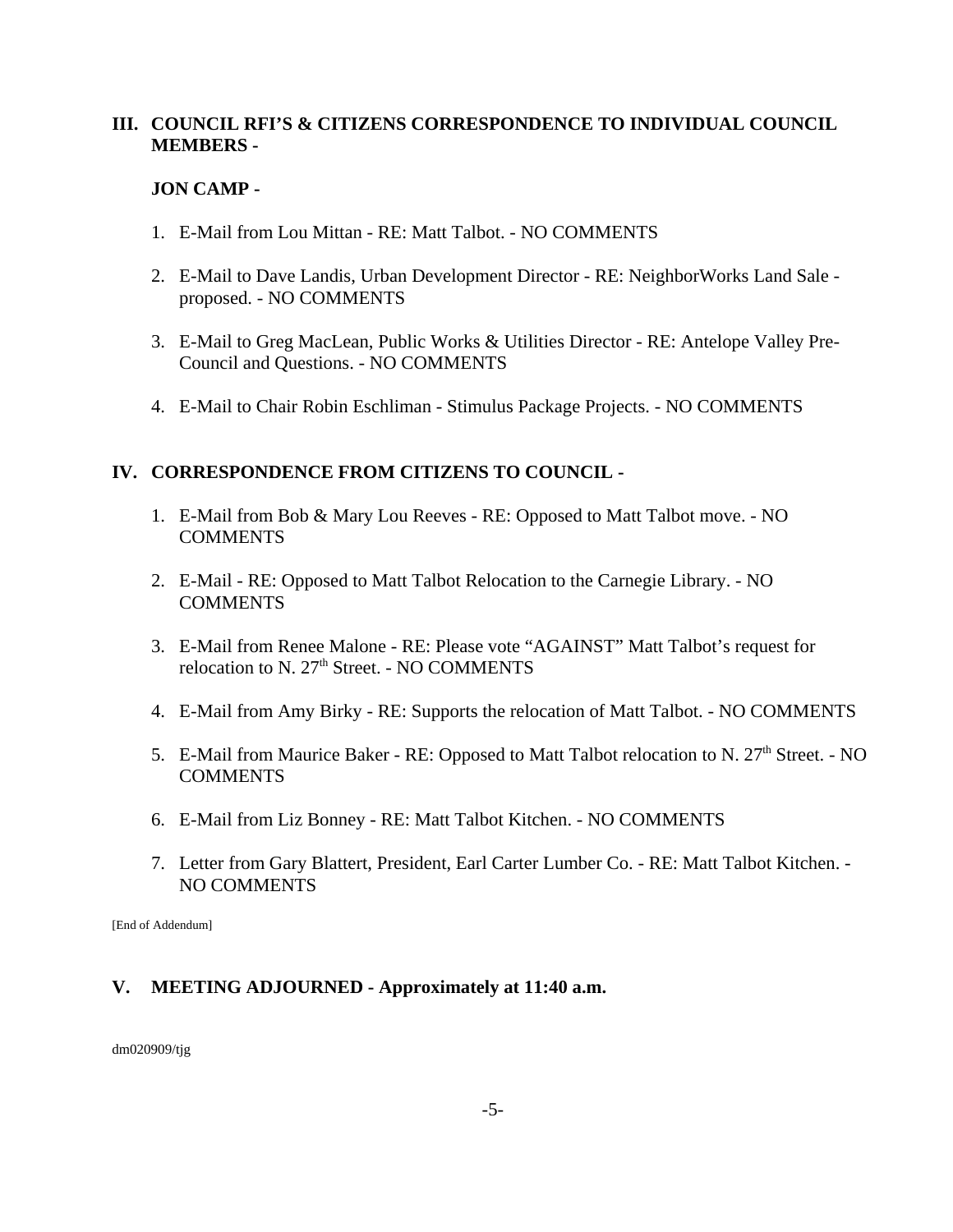## **III. COUNCIL RFI'S & CITIZENS CORRESPONDENCE TO INDIVIDUAL COUNCIL MEMBERS -**

#### **JON CAMP -**

- 1. E-Mail from Lou Mittan RE: Matt Talbot. NO COMMENTS
- 2. E-Mail to Dave Landis, Urban Development Director RE: NeighborWorks Land Sale proposed. - NO COMMENTS
- 3. E-Mail to Greg MacLean, Public Works & Utilities Director RE: Antelope Valley Pre-Council and Questions. - NO COMMENTS
- 4. E-Mail to Chair Robin Eschliman Stimulus Package Projects. NO COMMENTS

## **IV. CORRESPONDENCE FROM CITIZENS TO COUNCIL -**

- 1. E-Mail from Bob & Mary Lou Reeves RE: Opposed to Matt Talbot move. NO COMMENTS
- 2. E-Mail RE: Opposed to Matt Talbot Relocation to the Carnegie Library. NO COMMENTS
- 3. E-Mail from Renee Malone RE: Please vote "AGAINST" Matt Talbot's request for relocation to N. 27<sup>th</sup> Street. - NO COMMENTS
- 4. E-Mail from Amy Birky RE: Supports the relocation of Matt Talbot. NO COMMENTS
- 5. E-Mail from Maurice Baker RE: Opposed to Matt Talbot relocation to N.  $27<sup>th</sup>$  Street. NO COMMENTS
- 6. E-Mail from Liz Bonney RE: Matt Talbot Kitchen. NO COMMENTS
- 7. Letter from Gary Blattert, President, Earl Carter Lumber Co. RE: Matt Talbot Kitchen. NO COMMENTS

[End of Addendum]

## **V. MEETING ADJOURNED - Approximately at 11:40 a.m.**

dm020909/tjg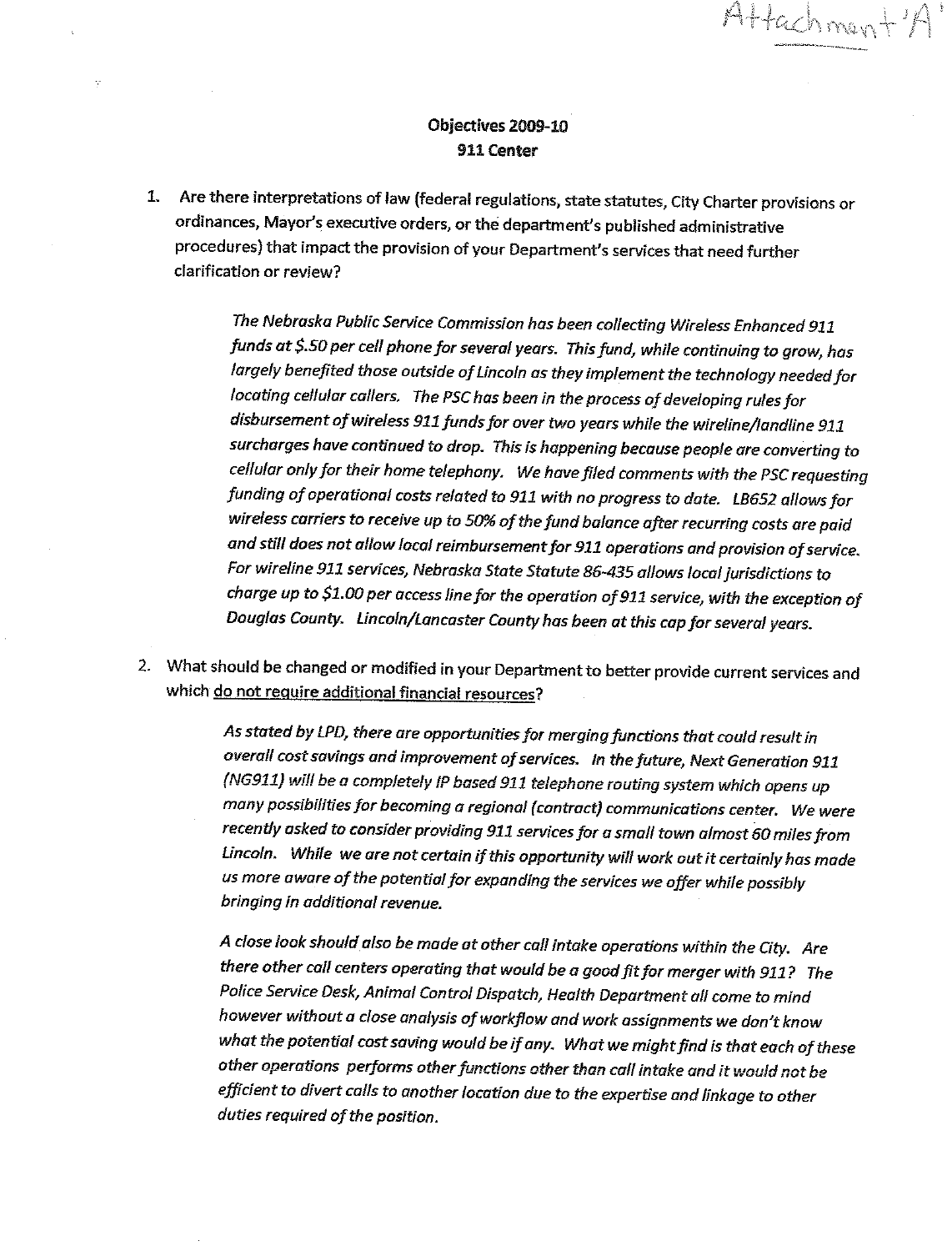#### Objectives 2009-10 911 Center

Ÿ

Attachmen-

1. Are there interpretations of law (federal regulations, state statutes, City Charter provisions or ordinances, Mayor's executive orders, or the department's published administrative procedures) that impact the provision of your Department's services that need further clarification or review?

> The Nebraska Public Service Commission has been collecting Wireless Enhanced 911 funds at \$.50 per cell phone for several years. This fund, while continuing to grow, has largely benefited those outside of Lincoln as they implement the technology needed for locating cellular callers. The PSC has been in the process of developing rules for disbursement of wireless 911 funds for over two years while the wireline/landline 911 surcharges have continued to drop. This is happening because people are converting to cellular only for their home telephony. We have filed comments with the PSC requesting funding of operational costs related to 911 with no progress to date. LB652 allows for wireless carriers to receive up to 50% of the fund balance after recurring costs are paid and still does not allow local reimbursement for 911 operations and provision of service. For wireline 911 services, Nebraska State Statute 86-435 allows local jurisdictions to charge up to \$1.00 per access line for the operation of 911 service, with the exception of Douglas County. Lincoln/Lancaster County has been at this cap for several years.

2. What should be changed or modified in your Department to better provide current services and which do not require additional financial resources?

> As stated by LPD, there are opportunities for merging functions that could result in overall cost savings and improvement of services. In the future, Next Generation 911 (NG911) will be a completely IP based 911 telephone routing system which opens up many possibilities for becoming a regional (contract) communications center. We were recently asked to consider providing 911 services for a small town almost 60 miles from Lincoln. While we are not certain if this opportunity will work out it certainly has made us more aware of the potential for expanding the services we offer while possibly bringing in additional revenue.

> A close look should also be made at other call intake operations within the City. Are there other call centers operating that would be a good fit for merger with 911? The Police Service Desk, Animal Control Dispatch, Health Department all come to mind however without a close analysis of workflow and work assignments we don't know what the potential cost saving would be if any. What we might find is that each of these other operations performs other functions other than call intake and it would not be efficient to divert calls to another location due to the expertise and linkage to other duties required of the position.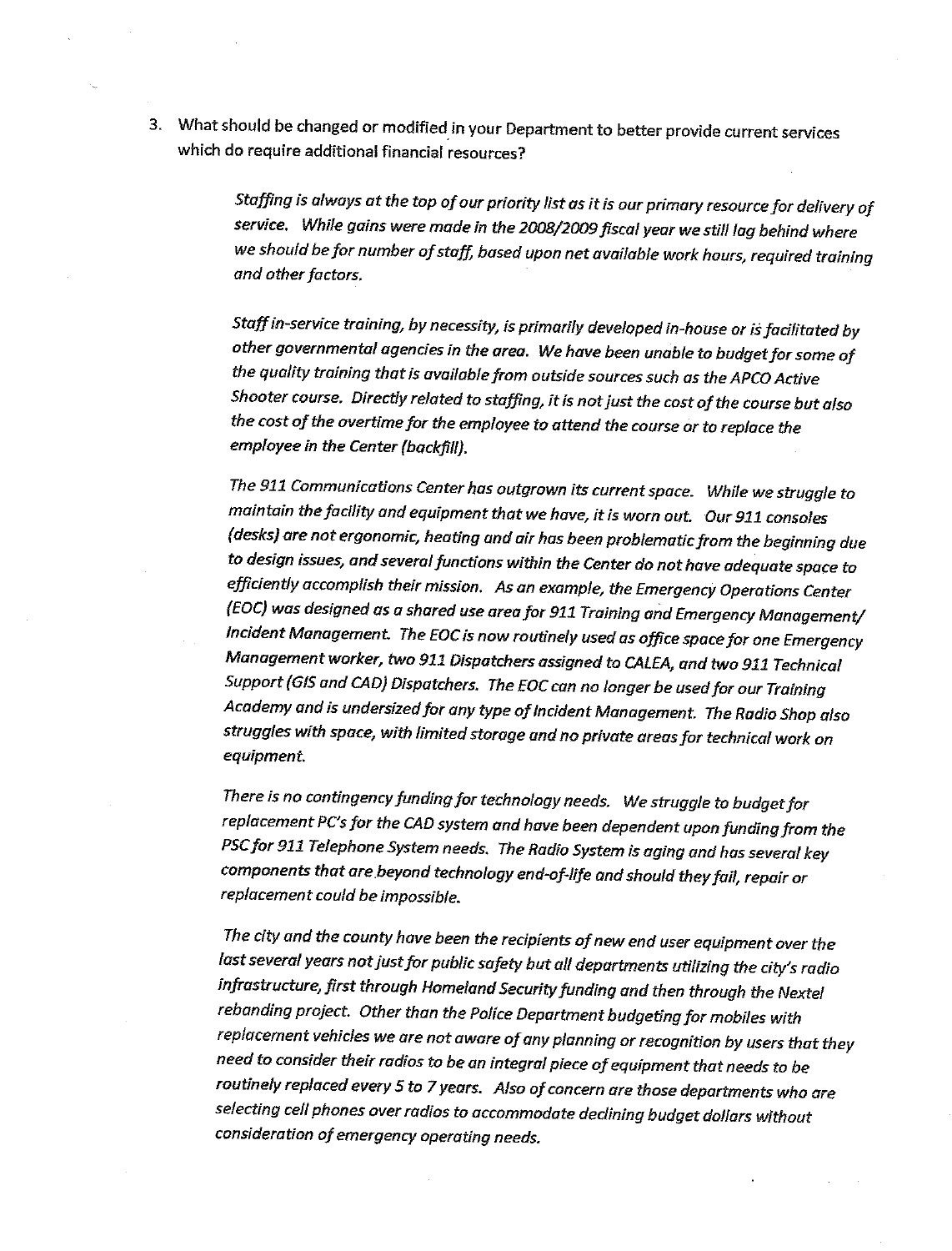3. What should be changed or modified in your Department to better provide current services which do require additional financial resources?

> Staffing is always at the top of our priority list as it is our primary resource for delivery of service. While gains were made in the 2008/2009 fiscal year we still lag behind where we should be for number of staff, based upon net available work hours, required training and other factors.

Staff in-service training, by necessity, is primarily developed in-house or is facilitated by other governmental agencies in the area. We have been unable to budget for some of the quality training that is available from outside sources such as the APCO Active Shooter course. Directly related to staffing, it is not just the cost of the course but also the cost of the overtime for the employee to attend the course or to replace the employee in the Center (backfill).

The 911 Communications Center has outgrown its current space. While we struggle to maintain the facility and equipment that we have, it is worn out. Our 911 consoles (desks) are not ergonomic, heating and air has been problematic from the beginning due to design issues, and several functions within the Center do not have adequate space to efficiently accomplish their mission. As an example, the Emergency Operations Center (EOC) was designed as a shared use area for 911 Training and Emergency Management/ Incident Management. The EOC is now routinely used as office space for one Emergency Management worker, two 911 Dispatchers assigned to CALEA, and two 911 Technical Support (GIS and CAD) Dispatchers. The EOC can no longer be used for our Training Academy and is undersized for any type of Incident Management. The Radio Shop also struggles with space, with limited storage and no private areas for technical work on equipment.

There is no contingency funding for technology needs. We struggle to budget for replacement PC's for the CAD system and have been dependent upon funding from the PSC for 911 Telephone System needs. The Radio System is aging and has several key components that are beyond technology end-of-life and should they fail, repair or replacement could be impossible.

The city and the county have been the recipients of new end user equipment over the last several years not just for public safety but all departments utilizing the city's radio infrastructure, first through Homeland Security funding and then through the Nextel rebanding project. Other than the Police Department budgeting for mobiles with replacement vehicles we are not aware of any planning or recognition by users that they need to consider their radios to be an integral piece of equipment that needs to be routinely replaced every 5 to 7 years. Also of concern are those departments who are selecting cell phones over radios to accommodate declining budget dollars without consideration of emergency operating needs.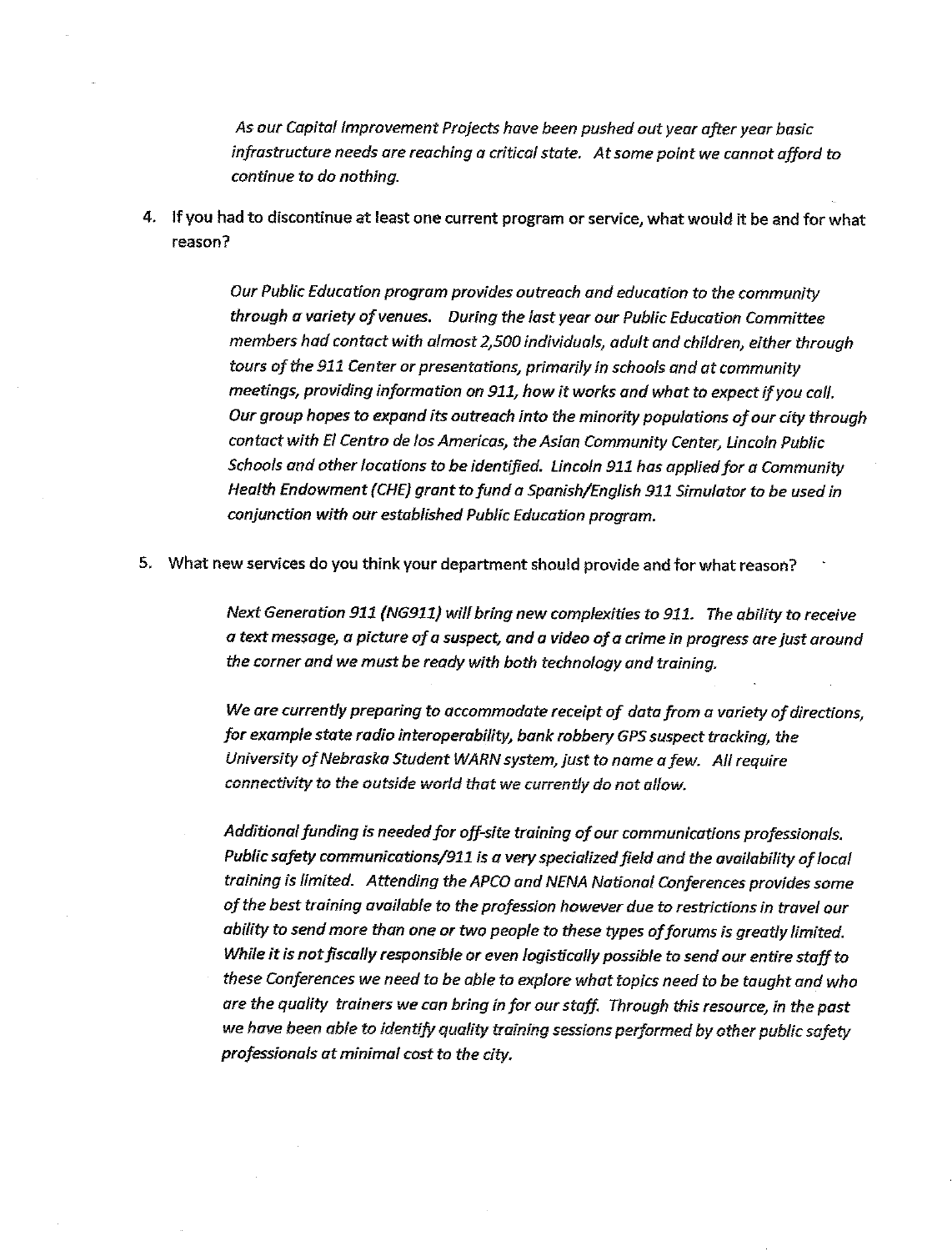As our Capital Improvement Projects have been pushed out year after year basic infrastructure needs are reaching a critical state. At some point we cannot afford to continue to do nothing.

4. If you had to discontinue at least one current program or service, what would it be and for what  $reason?$ 

> Our Public Education program provides outreach and education to the community through a variety of venues. During the last year our Public Education Committee members had contact with almost 2,500 individuals, adult and children, either through tours of the 911 Center or presentations, primarily in schools and at community meetings, providing information on 911, how it works and what to expect if you call. Our group hopes to expand its outreach into the minority populations of our city through contact with El Centro de los Americas, the Asian Community Center, Lincoln Public Schools and other locations to be identified. Lincoln 911 has applied for a Community Health Endowment (CHE) grant to fund a Spanish/English 911 Simulator to be used in conjunction with our established Public Education program.

5. What new services do you think your department should provide and for what reason?

Next Generation 911 (NG911) will bring new complexities to 911. The ability to receive a text message, a picture of a suspect, and a video of a crime in progress are just around the corner and we must be ready with both technology and training.

We are currently preparing to accommodate receipt of data from a variety of directions, for example state radio interoperability, bank robbery GPS suspect tracking, the University of Nebraska Student WARN system, just to name a few. All require connectivity to the outside world that we currently do not allow.

Additional funding is needed for off-site training of our communications professionals. Public safety communications/911 is a very specialized field and the availability of local training is limited. Attending the APCO and NENA National Conferences provides some of the best training available to the profession however due to restrictions in travel our ability to send more than one or two people to these types of forums is greatly limited. While it is not fiscally responsible or even logistically possible to send our entire staff to these Conferences we need to be able to explore what topics need to be taught and who are the quality trainers we can bring in for our staff. Through this resource, in the past we have been able to identify quality training sessions performed by other public safety professionals at minimal cost to the city.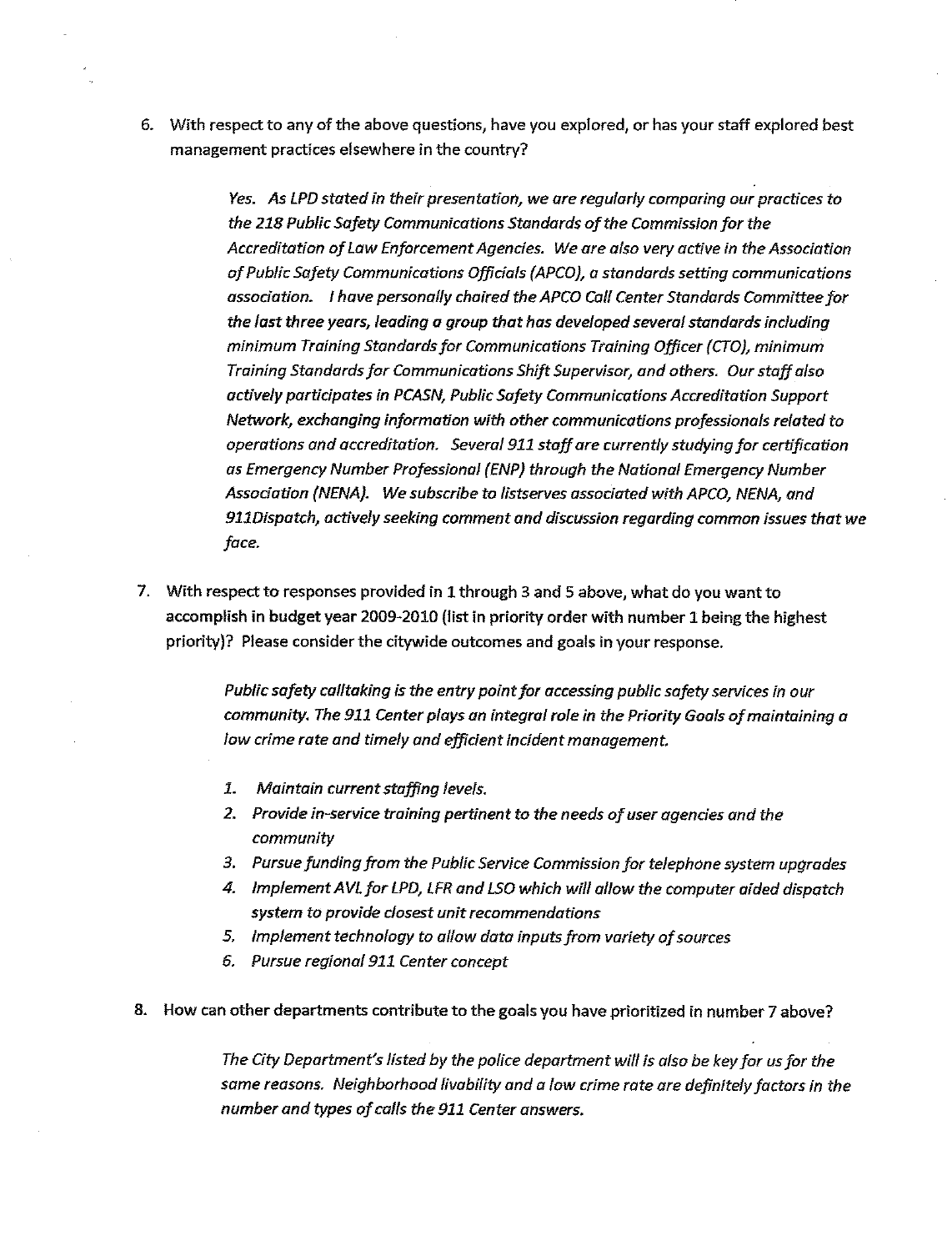6. With respect to any of the above questions, have you explored, or has your staff explored best management practices elsewhere in the country?

> Yes. As LPD stated in their presentation, we are regularly comparing our practices to the 218 Public Safety Communications Standards of the Commission for the Accreditation of Law Enforcement Agencies. We are also very active in the Association of Public Safety Communications Officials (APCO), a standards setting communications association. I have personally chaired the APCO Call Center Standards Committee for the last three years, leading a group that has developed several standards including minimum Training Standards for Communications Training Officer (CTO), minimum Training Standards for Communications Shift Supervisor, and others. Our staff also actively participates in PCASN, Public Safety Communications Accreditation Support Network, exchanging information with other communications professionals related to operations and accreditation. Several 911 staff are currently studying for certification as Emergency Number Professional (ENP) through the National Emergency Number Association (NENA). We subscribe to listserves associated with APCO, NENA, and 911Dispatch, actively seeking comment and discussion regarding common issues that we face.

7. With respect to responses provided in 1 through 3 and 5 above, what do you want to accomplish in budget year 2009-2010 (list in priority order with number 1 being the highest priority)? Please consider the citywide outcomes and goals in your response.

> Public safety calltaking is the entry point for accessing public safety services in our community. The 911 Center plays an integral role in the Priority Goals of maintaining a low crime rate and timely and efficient incident management.

- 1. Maintain current staffing levels.
- 2. Provide in-service training pertinent to the needs of user agencies and the community
- 3. Pursue funding from the Public Service Commission for telephone system upgrades
- 4. Implement AVL for LPD, LFR and LSO which will allow the computer aided dispatch system to provide closest unit recommendations
- 5. Implement technology to allow data inputs from variety of sources
- 6. Pursue regional 911 Center concept
- 8. How can other departments contribute to the goals you have prioritized in number 7 above?

The City Department's listed by the police department will is also be key for us for the same reasons. Neighborhood livability and a low crime rate are definitely factors in the number and types of calls the 911 Center answers.